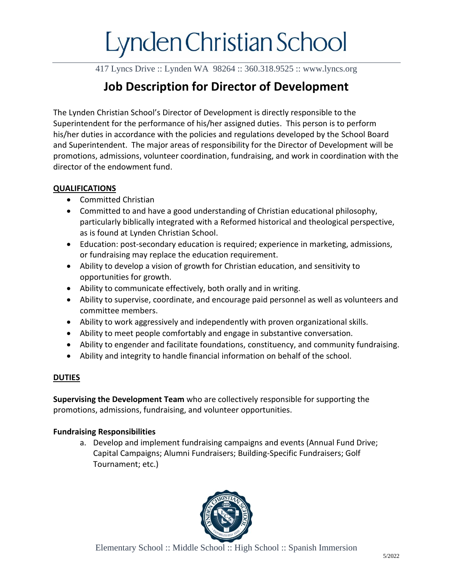417 Lyncs Drive :: Lynden WA 98264 :: 360.318.9525 :: www.lyncs.org

### **Job Description for Director of Development**

The Lynden Christian School's Director of Development is directly responsible to the Superintendent for the performance of his/her assigned duties. This person is to perform his/her duties in accordance with the policies and regulations developed by the School Board and Superintendent. The major areas of responsibility for the Director of Development will be promotions, admissions, volunteer coordination, fundraising, and work in coordination with the director of the endowment fund.

#### **QUALIFICATIONS**

- Committed Christian
- Committed to and have a good understanding of Christian educational philosophy, particularly biblically integrated with a Reformed historical and theological perspective, as is found at Lynden Christian School.
- Education: post-secondary education is required; experience in marketing, admissions, or fundraising may replace the education requirement.
- Ability to develop a vision of growth for Christian education, and sensitivity to opportunities for growth.
- Ability to communicate effectively, both orally and in writing.
- Ability to supervise, coordinate, and encourage paid personnel as well as volunteers and committee members.
- Ability to work aggressively and independently with proven organizational skills.
- Ability to meet people comfortably and engage in substantive conversation.
- Ability to engender and facilitate foundations, constituency, and community fundraising.
- Ability and integrity to handle financial information on behalf of the school.

#### **DUTIES**

**Supervising the Development Team** who are collectively responsible for supporting the promotions, admissions, fundraising, and volunteer opportunities.

#### **Fundraising Responsibilities**

a. Develop and implement fundraising campaigns and events (Annual Fund Drive; Capital Campaigns; Alumni Fundraisers; Building-Specific Fundraisers; Golf Tournament; etc.)

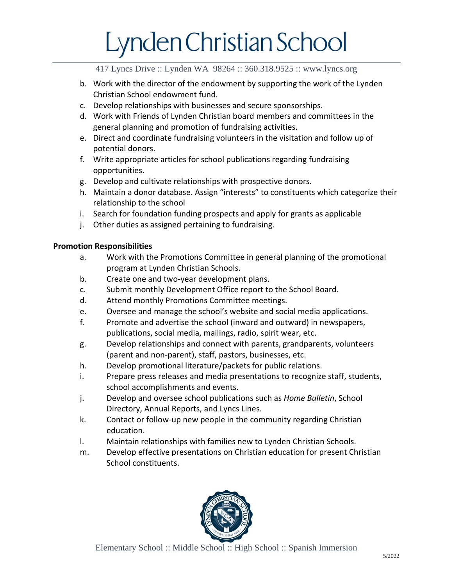417 Lyncs Drive :: Lynden WA 98264 :: 360.318.9525 :: www.lyncs.org

- b. Work with the director of the endowment by supporting the work of the Lynden Christian School endowment fund.
- c. Develop relationships with businesses and secure sponsorships.
- d. Work with Friends of Lynden Christian board members and committees in the general planning and promotion of fundraising activities.
- e. Direct and coordinate fundraising volunteers in the visitation and follow up of potential donors.
- f. Write appropriate articles for school publications regarding fundraising opportunities.
- g. Develop and cultivate relationships with prospective donors.
- h. Maintain a donor database. Assign "interests" to constituents which categorize their relationship to the school
- i. Search for foundation funding prospects and apply for grants as applicable
- j. Other duties as assigned pertaining to fundraising.

#### **Promotion Responsibilities**

- a. Work with the Promotions Committee in general planning of the promotional program at Lynden Christian Schools.
- b. Create one and two-year development plans.
- c. Submit monthly Development Office report to the School Board.
- d. Attend monthly Promotions Committee meetings.
- e. Oversee and manage the school's website and social media applications.
- f. Promote and advertise the school (inward and outward) in newspapers, publications, social media, mailings, radio, spirit wear, etc.
- g. Develop relationships and connect with parents, grandparents, volunteers (parent and non-parent), staff, pastors, businesses, etc.
- h. Develop promotional literature/packets for public relations.
- i. Prepare press releases and media presentations to recognize staff, students, school accomplishments and events.
- j. Develop and oversee school publications such as *Home Bulletin*, School Directory, Annual Reports, and Lyncs Lines.
- k. Contact or follow-up new people in the community regarding Christian education.
- l. Maintain relationships with families new to Lynden Christian Schools.
- m. Develop effective presentations on Christian education for present Christian School constituents.

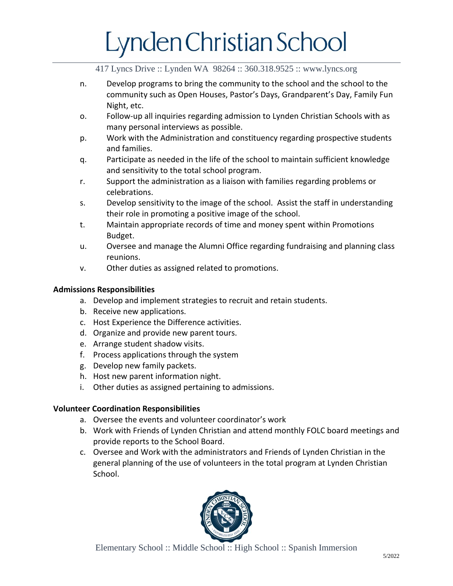417 Lyncs Drive :: Lynden WA 98264 :: 360.318.9525 :: www.lyncs.org

- n. Develop programs to bring the community to the school and the school to the community such as Open Houses, Pastor's Days, Grandparent's Day, Family Fun Night, etc.
- o. Follow-up all inquiries regarding admission to Lynden Christian Schools with as many personal interviews as possible.
- p. Work with the Administration and constituency regarding prospective students and families.
- q. Participate as needed in the life of the school to maintain sufficient knowledge and sensitivity to the total school program.
- r. Support the administration as a liaison with families regarding problems or celebrations.
- s. Develop sensitivity to the image of the school. Assist the staff in understanding their role in promoting a positive image of the school.
- t. Maintain appropriate records of time and money spent within Promotions Budget.
- u. Oversee and manage the Alumni Office regarding fundraising and planning class reunions.
- v. Other duties as assigned related to promotions.

#### **Admissions Responsibilities**

- a. Develop and implement strategies to recruit and retain students.
- b. Receive new applications.
- c. Host Experience the Difference activities.
- d. Organize and provide new parent tours.
- e. Arrange student shadow visits.
- f. Process applications through the system
- g. Develop new family packets.
- h. Host new parent information night.
- i. Other duties as assigned pertaining to admissions.

#### **Volunteer Coordination Responsibilities**

- a. Oversee the events and volunteer coordinator's work
- b. Work with Friends of Lynden Christian and attend monthly FOLC board meetings and provide reports to the School Board.
- c. Oversee and Work with the administrators and Friends of Lynden Christian in the general planning of the use of volunteers in the total program at Lynden Christian School.